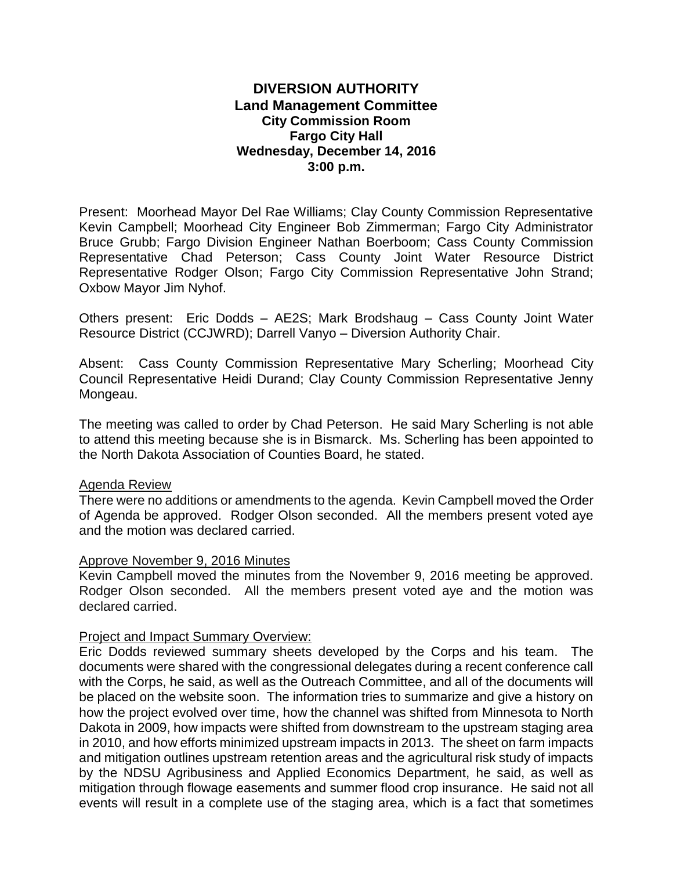# **DIVERSION AUTHORITY Land Management Committee City Commission Room Fargo City Hall Wednesday, December 14, 2016 3:00 p.m.**

Present: Moorhead Mayor Del Rae Williams; Clay County Commission Representative Kevin Campbell; Moorhead City Engineer Bob Zimmerman; Fargo City Administrator Bruce Grubb; Fargo Division Engineer Nathan Boerboom; Cass County Commission Representative Chad Peterson; Cass County Joint Water Resource District Representative Rodger Olson; Fargo City Commission Representative John Strand; Oxbow Mayor Jim Nyhof.

Others present: Eric Dodds – AE2S; Mark Brodshaug – Cass County Joint Water Resource District (CCJWRD); Darrell Vanyo – Diversion Authority Chair.

Absent: Cass County Commission Representative Mary Scherling; Moorhead City Council Representative Heidi Durand; Clay County Commission Representative Jenny Mongeau.

The meeting was called to order by Chad Peterson. He said Mary Scherling is not able to attend this meeting because she is in Bismarck. Ms. Scherling has been appointed to the North Dakota Association of Counties Board, he stated.

# Agenda Review

There were no additions or amendments to the agenda. Kevin Campbell moved the Order of Agenda be approved. Rodger Olson seconded. All the members present voted aye and the motion was declared carried.

# Approve November 9, 2016 Minutes

Kevin Campbell moved the minutes from the November 9, 2016 meeting be approved. Rodger Olson seconded. All the members present voted aye and the motion was declared carried.

# Project and Impact Summary Overview:

Eric Dodds reviewed summary sheets developed by the Corps and his team. The documents were shared with the congressional delegates during a recent conference call with the Corps, he said, as well as the Outreach Committee, and all of the documents will be placed on the website soon. The information tries to summarize and give a history on how the project evolved over time, how the channel was shifted from Minnesota to North Dakota in 2009, how impacts were shifted from downstream to the upstream staging area in 2010, and how efforts minimized upstream impacts in 2013. The sheet on farm impacts and mitigation outlines upstream retention areas and the agricultural risk study of impacts by the NDSU Agribusiness and Applied Economics Department, he said, as well as mitigation through flowage easements and summer flood crop insurance. He said not all events will result in a complete use of the staging area, which is a fact that sometimes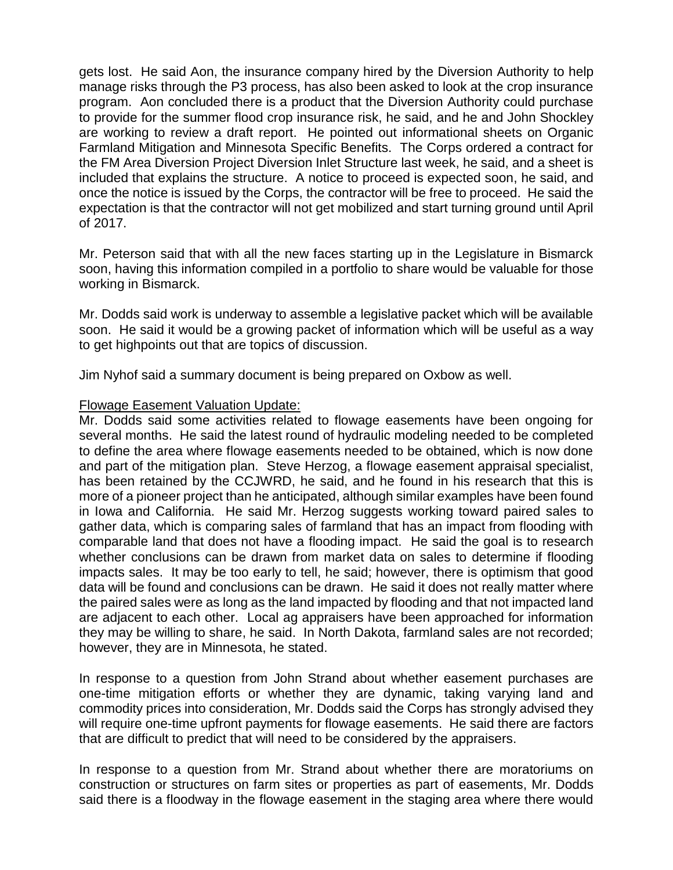gets lost. He said Aon, the insurance company hired by the Diversion Authority to help manage risks through the P3 process, has also been asked to look at the crop insurance program. Aon concluded there is a product that the Diversion Authority could purchase to provide for the summer flood crop insurance risk, he said, and he and John Shockley are working to review a draft report. He pointed out informational sheets on Organic Farmland Mitigation and Minnesota Specific Benefits. The Corps ordered a contract for the FM Area Diversion Project Diversion Inlet Structure last week, he said, and a sheet is included that explains the structure. A notice to proceed is expected soon, he said, and once the notice is issued by the Corps, the contractor will be free to proceed. He said the expectation is that the contractor will not get mobilized and start turning ground until April of 2017.

Mr. Peterson said that with all the new faces starting up in the Legislature in Bismarck soon, having this information compiled in a portfolio to share would be valuable for those working in Bismarck.

Mr. Dodds said work is underway to assemble a legislative packet which will be available soon. He said it would be a growing packet of information which will be useful as a way to get highpoints out that are topics of discussion.

Jim Nyhof said a summary document is being prepared on Oxbow as well.

# Flowage Easement Valuation Update:

Mr. Dodds said some activities related to flowage easements have been ongoing for several months. He said the latest round of hydraulic modeling needed to be completed to define the area where flowage easements needed to be obtained, which is now done and part of the mitigation plan. Steve Herzog, a flowage easement appraisal specialist, has been retained by the CCJWRD, he said, and he found in his research that this is more of a pioneer project than he anticipated, although similar examples have been found in Iowa and California. He said Mr. Herzog suggests working toward paired sales to gather data, which is comparing sales of farmland that has an impact from flooding with comparable land that does not have a flooding impact. He said the goal is to research whether conclusions can be drawn from market data on sales to determine if flooding impacts sales. It may be too early to tell, he said; however, there is optimism that good data will be found and conclusions can be drawn. He said it does not really matter where the paired sales were as long as the land impacted by flooding and that not impacted land are adjacent to each other. Local ag appraisers have been approached for information they may be willing to share, he said. In North Dakota, farmland sales are not recorded; however, they are in Minnesota, he stated.

In response to a question from John Strand about whether easement purchases are one-time mitigation efforts or whether they are dynamic, taking varying land and commodity prices into consideration, Mr. Dodds said the Corps has strongly advised they will require one-time upfront payments for flowage easements. He said there are factors that are difficult to predict that will need to be considered by the appraisers.

In response to a question from Mr. Strand about whether there are moratoriums on construction or structures on farm sites or properties as part of easements, Mr. Dodds said there is a floodway in the flowage easement in the staging area where there would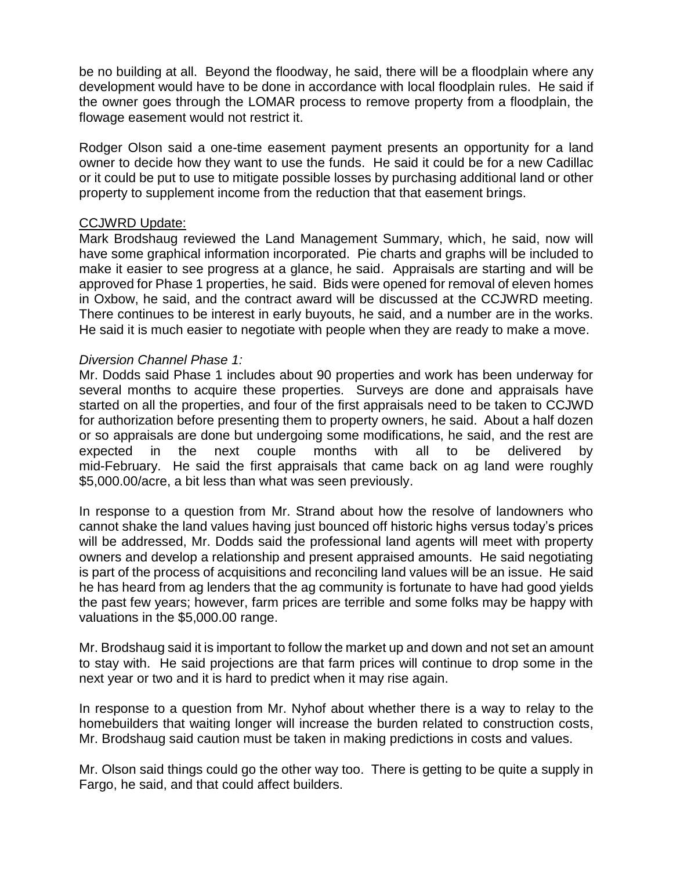be no building at all. Beyond the floodway, he said, there will be a floodplain where any development would have to be done in accordance with local floodplain rules. He said if the owner goes through the LOMAR process to remove property from a floodplain, the flowage easement would not restrict it.

Rodger Olson said a one-time easement payment presents an opportunity for a land owner to decide how they want to use the funds. He said it could be for a new Cadillac or it could be put to use to mitigate possible losses by purchasing additional land or other property to supplement income from the reduction that that easement brings.

# CCJWRD Update:

Mark Brodshaug reviewed the Land Management Summary, which, he said, now will have some graphical information incorporated. Pie charts and graphs will be included to make it easier to see progress at a glance, he said. Appraisals are starting and will be approved for Phase 1 properties, he said. Bids were opened for removal of eleven homes in Oxbow, he said, and the contract award will be discussed at the CCJWRD meeting. There continues to be interest in early buyouts, he said, and a number are in the works. He said it is much easier to negotiate with people when they are ready to make a move.

# *Diversion Channel Phase 1:*

Mr. Dodds said Phase 1 includes about 90 properties and work has been underway for several months to acquire these properties. Surveys are done and appraisals have started on all the properties, and four of the first appraisals need to be taken to CCJWD for authorization before presenting them to property owners, he said. About a half dozen or so appraisals are done but undergoing some modifications, he said, and the rest are expected in the next couple months with all to be delivered by mid-February. He said the first appraisals that came back on ag land were roughly \$5,000.00/acre, a bit less than what was seen previously.

In response to a question from Mr. Strand about how the resolve of landowners who cannot shake the land values having just bounced off historic highs versus today's prices will be addressed, Mr. Dodds said the professional land agents will meet with property owners and develop a relationship and present appraised amounts. He said negotiating is part of the process of acquisitions and reconciling land values will be an issue. He said he has heard from ag lenders that the ag community is fortunate to have had good yields the past few years; however, farm prices are terrible and some folks may be happy with valuations in the \$5,000.00 range.

Mr. Brodshaug said it is important to follow the market up and down and not set an amount to stay with. He said projections are that farm prices will continue to drop some in the next year or two and it is hard to predict when it may rise again.

In response to a question from Mr. Nyhof about whether there is a way to relay to the homebuilders that waiting longer will increase the burden related to construction costs, Mr. Brodshaug said caution must be taken in making predictions in costs and values.

Mr. Olson said things could go the other way too. There is getting to be quite a supply in Fargo, he said, and that could affect builders.